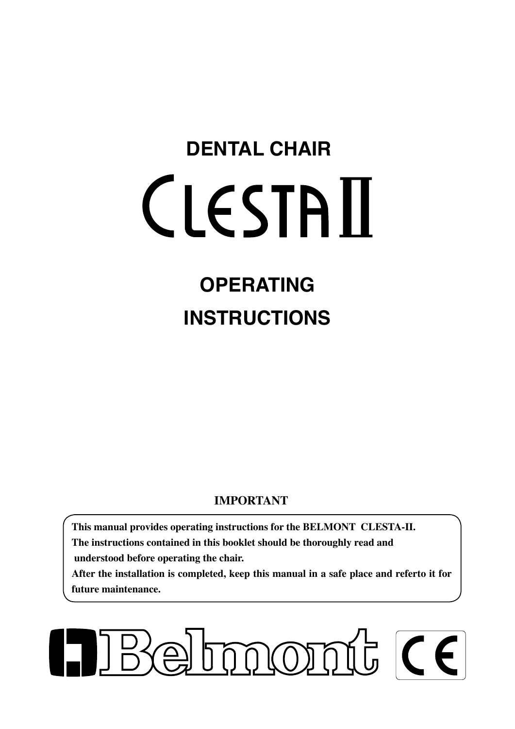# **DENTAL CHAIR CLESTAIL**

# **OPERATING INSTRUCTIONS**

# **IMPORTANT**

**This manual provides operating instructions for the BELMONT CLESTA-II. The instructions contained in this booklet should be thoroughly read and understood before operating the chair.** 

**After the installation is completed, keep this manual in a safe place and referto it for future maintenance.**

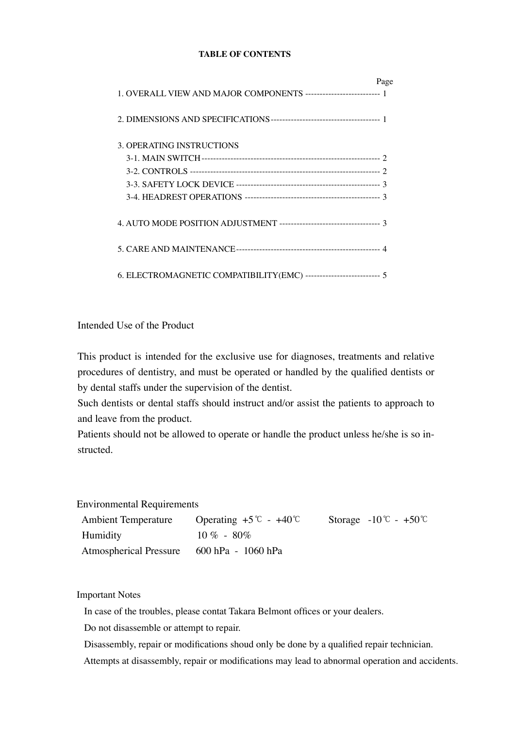#### **TABLE OF CONTENTS**

|                                                                     | Page |
|---------------------------------------------------------------------|------|
|                                                                     |      |
|                                                                     |      |
| 3. OPERATING INSTRUCTIONS                                           |      |
|                                                                     |      |
|                                                                     |      |
|                                                                     |      |
|                                                                     |      |
|                                                                     |      |
|                                                                     |      |
| 6. ELECTROMAGNETIC COMPATIBILITY(EMC) --------------------------- 5 |      |

#### Intended Use of the Product

This product is intended for the exclusive use for diagnoses, treatments and relative procedures of dentistry, and must be operated or handled by the qualified dentists or by dental staffs under the supervision of the dentist.

Such dentists or dental staffs should instruct and/or assist the patients to approach to and leave from the product.

Patients should not be allowed to operate or handle the product unless he/she is so instructed.

Environmental Requirements

| <b>Ambient Temperature</b>                | Operating $+5^{\circ}$ - $+40^{\circ}$ | Storage $-10^{\circ}$ C $- +50^{\circ}$ |
|-------------------------------------------|----------------------------------------|-----------------------------------------|
| Humidity                                  | $10\% - 80\%$                          |                                         |
| Atmospherical Pressure 600 hPa - 1060 hPa |                                        |                                         |

Important Notes

In case of the troubles, please contat Takara Belmont offices or your dealers.

Do not disassemble or attempt to repair.

Disassembly, repair or modifications shoud only be done by a qualified repair technician.

Attempts at disassembly, repair or modifications may lead to abnormal operation and accidents.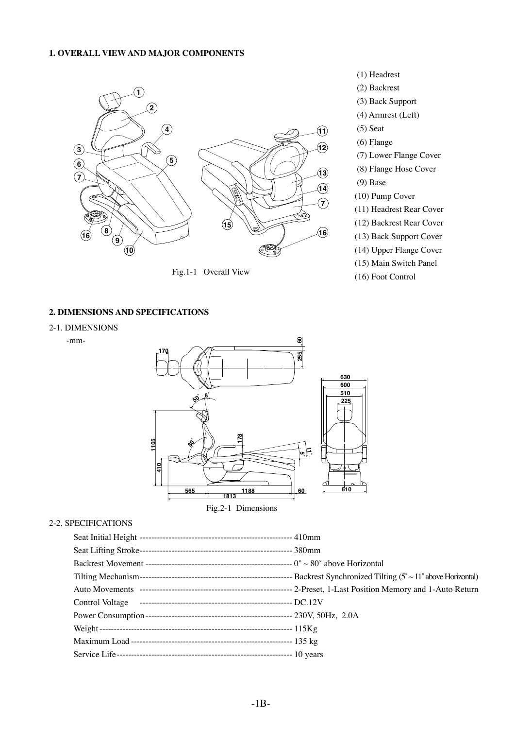#### **1. OVERALL VIEW AND MAJOR COMPONENTS**



Fig.1-1 Overall View

- (1) Headrest (2) Backrest (3) Back Support (4) Armrest (Left) (5) Seat (6) Flange (7) Lower Flange Cover (8) Flange Hose Cover
- (9) Base
- (10) Pump Cover
- (11) Headrest Rear Cover
- (12) Backrest Rear Cover
- (13) Back Support Cover
- (14) Upper Flange Cover
- (15) Main Switch Panel
- (16) Foot Control

#### **2. DIMENSIONS AND SPECIFICATIONS**

2-1. DIMENSIONS

-mm-



Fig.2-1 Dimensions

#### 2-2. SPECIFICATIONS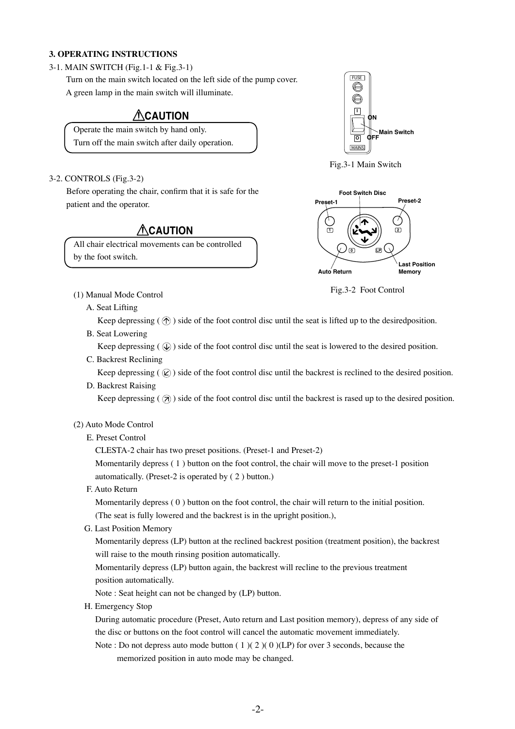#### **3. OPERATING INSTRUCTIONS**

#### 3-1. MAIN SWITCH (Fig.1-1 & Fig.3-1)

 Turn on the main switch located on the left side of the pump cover. A green lamp in the main switch will illuminate.

# **ACAUTION**

Operate the main switch by hand only. Turn off the main switch after daily operation.

### **Main Switch ON OFF** MAINS FUSE **I O**



#### 3-2. CONTROLS (Fig.3-2)

 Before operating the chair, confirm that it is safe for the patient and the operator.

## **CAUTION**

All chair electrical movements can be controlled by the foot switch.



Fig.3-2 Foot Control

- (1) Manual Mode Control
	- A. Seat Lifting

Keep depressing  $(\hat{\mathcal{P}})$  side of the foot control disc until the seat is lifted up to the desiredposition.

B. Seat Lowering

Keep depressing  $(Q)$  side of the foot control disc until the seat is lowered to the desired position.

C. Backrest Reclining

Keep depressing ( $\mathcal{R}$ ) side of the foot control disc until the backrest is reclined to the desired position.

D. Backrest Raising

Keep depressing ( $\overline{a}$ ) side of the foot control disc until the backrest is rased up to the desired position.

#### (2) Auto Mode Control

#### E. Preset Control

CLESTA-2 chair has two preset positions. (Preset-1 and Preset-2)

Momentarily depress ( 1 ) button on the foot control, the chair will move to the preset-1 position automatically. (Preset-2 is operated by ( 2 ) button.)

F. Auto Return

Momentarily depress ( 0 ) button on the foot control, the chair will return to the initial position. (The seat is fully lowered and the backrest is in the upright position.),

G. Last Position Memory

Momentarily depress (LP) button at the reclined backrest position (treatment position), the backrest will raise to the mouth rinsing position automatically.

Momentarily depress (LP) button again, the backrest will recline to the previous treatment position automatically.

Note : Seat height can not be changed by (LP) button.

H. Emergency Stop

 During automatic procedure (Preset, Auto return and Last position memory), depress of any side of the disc or buttons on the foot control will cancel the automatic movement immediately.

Note : Do not depress auto mode button  $(1)(2)(0)(LP)$  for over 3 seconds, because the memorized position in auto mode may be changed.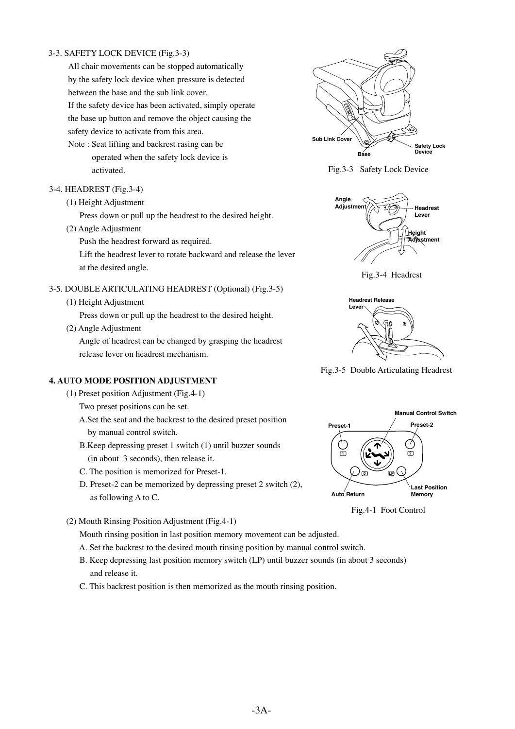#### 3-3. SAFETY LOCK DEVICE (Fig.3-3)

 All chair movements can be stopped automatically by the safety lock device when pressure is detected between the base and the sub link cover. If the safety device has been activated, simply operate

 the base up button and remove the object causing the safety device to activate from this area.

 Note : Seat lifting and backrest rasing can be operated when the safety lock device is activated.

#### 3-4. HEADREST (Fig.3-4)

(1) Height Adjustment

Press down or pull up the headrest to the desired height.

(2) Angle Adjustment

Push the headrest forward as required.

 Lift the headrest lever to rotate backward and release the lever at the desired angle.

#### 3-5. DOUBLE ARTICULATING HEADREST (Optional) (Fig.3-5)

(1) Height Adjustment

Press down or pull up the headrest to the desired height.

(2) Angle Adjustment

 Angle of headrest can be changed by grasping the headrest release lever on headrest mechanism.

#### **4. AUTO MODE POSITION ADJUSTMENT**

(1) Preset position Adjustment (Fig.4-1)

Two preset positions can be set.

- A.Set the seat and the backrest to the desired preset position by manual control switch.
- B.Keep depressing preset 1 switch (1) until buzzer sounds (in about 3 seconds), then release it.
- C. The position is memorized for Preset-1.
- D. Preset-2 can be memorized by depressing preset 2 switch (2), as following A to C.
- (2) Mouth Rinsing Position Adjustment (Fig.4-1)

Mouth rinsing position in last position memory movement can be adjusted.

- A. Set the backrest to the desired mouth rinsing position by manual control switch.
- B. Keep depressing last position memory switch (LP) until buzzer sounds (in about 3 seconds) and release it.
- C. This backrest position is then memorized as the mouth rinsing position.



Fig.3-3 Safety Lock Device



Fig.3-4 Headrest



Fig.3-5 Double Articulating Headrest



Fig.4-1 Foot Control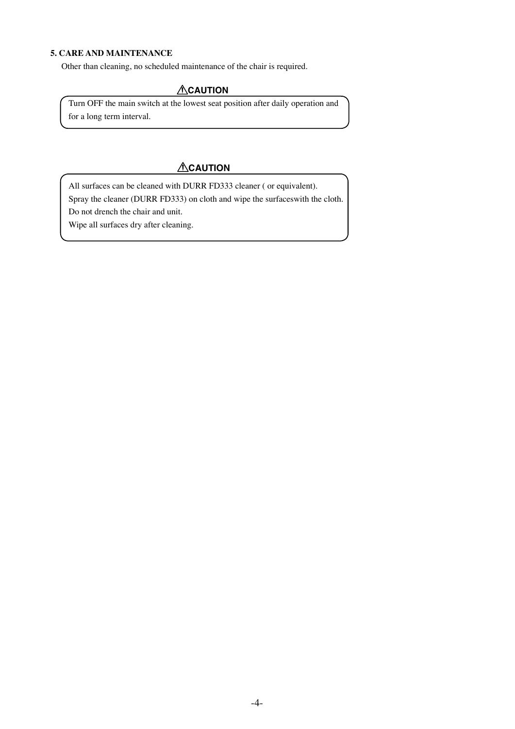#### **5. CARE AND MAINTENANCE**

 Other than cleaning, no scheduled maintenance of the chair is required.

#### **ACAUTION**

 Turn OFF the main switch at the lowest seat position after daily operation and for a long term interval.

# **ACAUTION**

All surfaces can be cleaned with DURR FD333 cleaner ( or equivalent). Spray the cleaner (DURR FD333) on cloth and wipe the surfaceswith the cloth. Do not drench the chair and unit.

Wipe all surfaces dry after cleaning.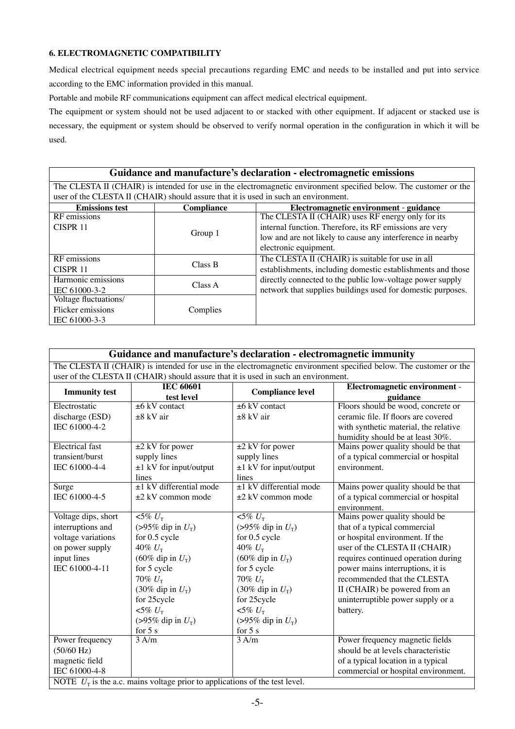#### **6. ELECTROMAGNETIC COMPATIBILITY**

Medical electrical equipment needs special precautions regarding EMC and needs to be installed and put into service according to the EMC information provided in this manual.

Portable and mobile RF communications equipment can affect medical electrical equipment.

The equipment or system should not be used adjacent to or stacked with other equipment. If adjacent or stacked use is necessary, the equipment or system should be observed to verify normal operation in the configuration in which it will be used.

| Guidance and manufacture's declaration - electromagnetic emissions                                                |            |                                                             |  |  |
|-------------------------------------------------------------------------------------------------------------------|------------|-------------------------------------------------------------|--|--|
| The CLESTA II (CHAIR) is intended for use in the electromagnetic environment specified below. The customer or the |            |                                                             |  |  |
| user of the CLESTA II (CHAIR) should assure that it is used in such an environment.                               |            |                                                             |  |  |
| <b>Emissions test</b>                                                                                             | Compliance | Electromagnetic environment - guidance                      |  |  |
| RF emissions                                                                                                      |            | The CLESTA II (CHAIR) uses RF energy only for its           |  |  |
| CISPR <sub>11</sub>                                                                                               | Group 1    | internal function. Therefore, its RF emissions are very     |  |  |
|                                                                                                                   |            | low and are not likely to cause any interference in nearby  |  |  |
|                                                                                                                   |            | electronic equipment.                                       |  |  |
| RF emissions                                                                                                      |            | The CLESTA II (CHAIR) is suitable for use in all            |  |  |
| CISPR <sub>11</sub>                                                                                               | Class B    | establishments, including domestic establishments and those |  |  |
| Harmonic emissions                                                                                                | Class A    | directly connected to the public low-voltage power supply   |  |  |
| IEC 61000-3-2                                                                                                     |            | network that supplies buildings used for domestic purposes. |  |  |
| Voltage fluctuations/                                                                                             |            |                                                             |  |  |
| Flicker emissions                                                                                                 | Complies   |                                                             |  |  |
| IEC 61000-3-3                                                                                                     |            |                                                             |  |  |

| Guidance and manufacture's declaration - electromagnetic immunity             |                                                                                                                   |                             |                                       |  |
|-------------------------------------------------------------------------------|-------------------------------------------------------------------------------------------------------------------|-----------------------------|---------------------------------------|--|
|                                                                               | The CLESTA II (CHAIR) is intended for use in the electromagnetic environment specified below. The customer or the |                             |                                       |  |
|                                                                               | user of the CLESTA II (CHAIR) should assure that it is used in such an environment.                               |                             |                                       |  |
| <b>Immunity test</b>                                                          | <b>IEC 60601</b>                                                                                                  |                             | Electromagnetic environment -         |  |
|                                                                               | test level                                                                                                        | <b>Compliance level</b>     | guidance                              |  |
| Electrostatic                                                                 | $\pm 6$ kV contact                                                                                                | $\pm 6$ kV contact          | Floors should be wood, concrete or    |  |
| discharge (ESD)                                                               | $\pm 8$ kV air                                                                                                    | $\pm 8$ kV air              | ceramic file. If floors are covered   |  |
| IEC 61000-4-2                                                                 |                                                                                                                   |                             | with synthetic material, the relative |  |
|                                                                               |                                                                                                                   |                             | humidity should be at least 30%.      |  |
| <b>Electrical</b> fast                                                        | $\pm 2$ kV for power                                                                                              | $\pm 2$ kV for power        | Mains power quality should be that    |  |
| transient/burst                                                               | supply lines                                                                                                      | supply lines                | of a typical commercial or hospital   |  |
| IEC 61000-4-4                                                                 | $\pm 1$ kV for input/output                                                                                       | $\pm 1$ kV for input/output | environment.                          |  |
|                                                                               | lines                                                                                                             | lines                       |                                       |  |
| Surge                                                                         | $±1$ kV differential mode                                                                                         | $±1$ kV differential mode   | Mains power quality should be that    |  |
| IEC 61000-4-5                                                                 | $\pm 2$ kV common mode                                                                                            | $\pm 2$ kV common mode      | of a typical commercial or hospital   |  |
|                                                                               |                                                                                                                   |                             | environment.                          |  |
| Voltage dips, short                                                           | $\sqrt{5\% U_{\rm T}}$                                                                                            | $\sqrt{5\% U_{\rm T}}$      | Mains power quality should be         |  |
| interruptions and                                                             | (>95% dip in $U_T$ )                                                                                              | (>95% dip in $U_T$ )        | that of a typical commercial          |  |
| voltage variations                                                            | for 0.5 cycle                                                                                                     | for 0.5 cycle               | or hospital environment. If the       |  |
| on power supply                                                               | 40% $U$ <sub>r</sub>                                                                                              | 40% $U$ <sub>r</sub>        | user of the CLESTA II (CHAIR)         |  |
| input lines                                                                   | (60% dip in $U_T$ )                                                                                               | (60% dip in $U_T$ )         | requires continued operation during   |  |
| IEC 61000-4-11                                                                | for 5 cycle                                                                                                       | for 5 cycle                 | power mains interruptions, it is      |  |
|                                                                               | 70% $U$ <sub>r</sub>                                                                                              | 70% $U$ <sub>T</sub>        | recommended that the CLESTA           |  |
|                                                                               | $(30\%$ dip in $U_T$ )                                                                                            | $(30\%$ dip in $U_T$ )      | II (CHAIR) be powered from an         |  |
|                                                                               | for 25cycle                                                                                                       | for 25cycle                 | uninterruptible power supply or a     |  |
|                                                                               | $< 5\% U_{\rm T}$                                                                                                 | $< 5\% U_{\rm T}$           | battery.                              |  |
|                                                                               | (>95% dip in $U_T$ )                                                                                              | (>95% dip in $U_T$ )        |                                       |  |
|                                                                               | for $5s$                                                                                                          | for $5s$                    |                                       |  |
| Power frequency                                                               | 3 A/m                                                                                                             | 3 A/m                       | Power frequency magnetic fields       |  |
| $(50/60 \text{ Hz})$                                                          |                                                                                                                   |                             | should be at levels characteristic    |  |
| magnetic field                                                                |                                                                                                                   |                             | of a typical location in a typical    |  |
| IEC 61000-4-8                                                                 |                                                                                                                   |                             | commercial or hospital environment.   |  |
| NOTE $U_T$ is the a.c. mains voltage prior to applications of the test level. |                                                                                                                   |                             |                                       |  |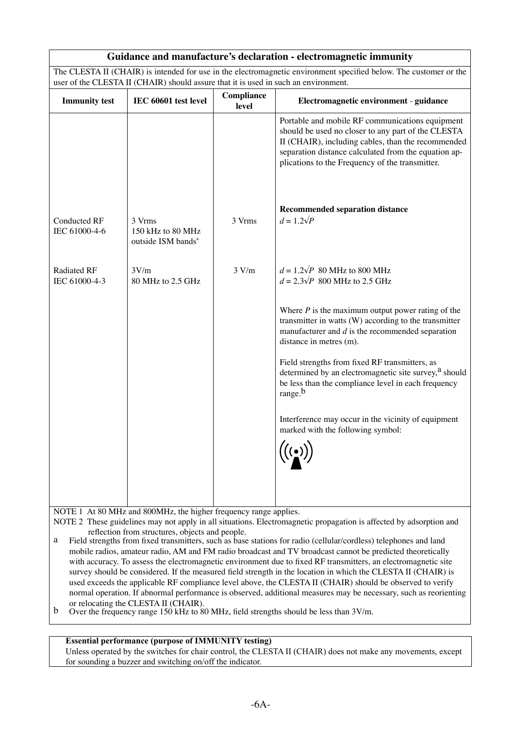| Guidance and manufacture's declaration - electromagnetic immunity                                                                                                                                        |                                                               |                     |                                                                                                                                                                                                                                                                        |
|----------------------------------------------------------------------------------------------------------------------------------------------------------------------------------------------------------|---------------------------------------------------------------|---------------------|------------------------------------------------------------------------------------------------------------------------------------------------------------------------------------------------------------------------------------------------------------------------|
| The CLESTA II (CHAIR) is intended for use in the electromagnetic environment specified below. The customer or the<br>user of the CLESTA II (CHAIR) should assure that it is used in such an environment. |                                                               |                     |                                                                                                                                                                                                                                                                        |
|                                                                                                                                                                                                          |                                                               |                     |                                                                                                                                                                                                                                                                        |
| <b>Immunity test</b>                                                                                                                                                                                     | IEC 60601 test level                                          | Compliance<br>level | Electromagnetic environment - guidance                                                                                                                                                                                                                                 |
|                                                                                                                                                                                                          |                                                               |                     | Portable and mobile RF communications equipment<br>should be used no closer to any part of the CLESTA<br>II (CHAIR), including cables, than the recommended<br>separation distance calculated from the equation ap-<br>plications to the Frequency of the transmitter. |
| <b>Conducted RF</b><br>IEC 61000-4-6                                                                                                                                                                     | 3 Vrms<br>150 kHz to 80 MHz<br>outside ISM bands <sup>a</sup> | 3 Vrms              | <b>Recommended separation distance</b><br>$d = 1.2\sqrt{P}$                                                                                                                                                                                                            |
| <b>Radiated RF</b><br>IEC 61000-4-3                                                                                                                                                                      | 3V/m<br>80 MHz to 2.5 GHz                                     | 3 V/m               | $d = 1.2\sqrt{P}$ 80 MHz to 800 MHz<br>$d = 2.3\sqrt{P}$ 800 MHz to 2.5 GHz                                                                                                                                                                                            |
|                                                                                                                                                                                                          |                                                               |                     | Where $P$ is the maximum output power rating of the<br>transmitter in watts (W) according to the transmitter<br>manufacturer and $d$ is the recommended separation<br>distance in metres (m).                                                                          |
|                                                                                                                                                                                                          |                                                               |                     | Field strengths from fixed RF transmitters, as<br>determined by an electromagnetic site survey, <sup>a</sup> should<br>be less than the compliance level in each frequency<br>range. <sup>b</sup>                                                                      |
|                                                                                                                                                                                                          |                                                               |                     | Interference may occur in the vicinity of equipment<br>marked with the following symbol:                                                                                                                                                                               |
|                                                                                                                                                                                                          |                                                               |                     | $\left(\left(\begin{matrix} \cdot & \cdot \\ \cdot & \cdot \end{matrix}\right)\right)$                                                                                                                                                                                 |

NOTE 1 At 80 MHz and 800MHz, the higher frequency range applies.

NOTE 2 These guidelines may not apply in all situations. Electromagnetic propagation is affected by adsorption and reflection from structures, objects and people.<br>a Field strengths from fixed transmitters, such as base

Field strengths from fixed transmitters, such as base stations for radio (cellular/cordless) telephones and land mobile radios, amateur radio, AM and FM radio broadcast and TV broadcast cannot be predicted theoretically with accuracy. To assess the electromagnetic environment due to fixed RF transmitters, an electromagnetic site survey should be considered. If the measured field strength in the location in which the CLESTA II (CHAIR) is used exceeds the applicable RF compliance level above, the CLESTA II (CHAIR) should be observed to verify normal operation. If abnormal performance is observed, additional measures may be necessary, such as reorienting or relocating the CLESTA II (CHAIR).

 $\overline{b}$  Over the frequency range 150 kHz to 80 MHz, field strengths should be less than 3V/m.

#### **Essential performance (purpose of IMMUNITY testing)**

Unless operated by the switches for chair control, the CLESTA II (CHAIR) does not make any movements, except for sounding a buzzer and switching on/off the indicator.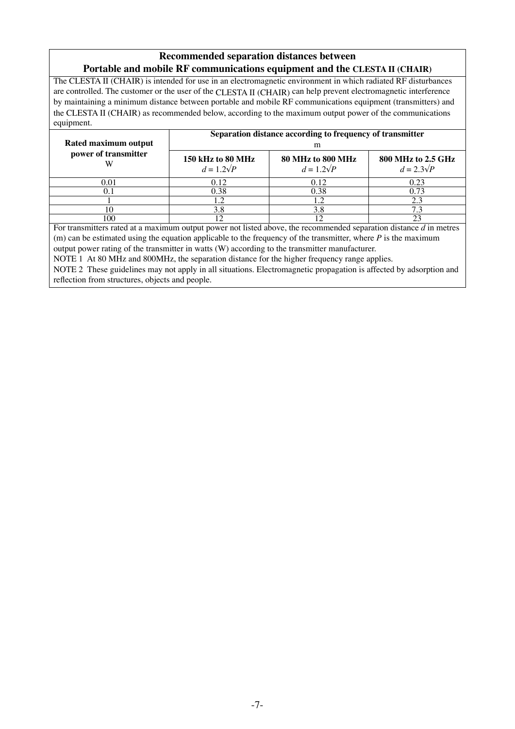#### **Recommended separation distances between Portable and mobile RF communications equipment and the CLESTA II (CHAIR)**

The CLESTA II (CHAIR) is intended for use in an electromagnetic environment in which radiated RF disturbances are controlled. The customer or the user of the CLESTA II (CHAIR) can help prevent electromagnetic interference by maintaining a minimum distance between portable and mobile RF communications equipment (transmitters) and the CLESTA II (CHAIR) as recommended below, according to the maximum output power of the communications equipment.

|                      | Separation distance according to frequency of transmitter |                                        |                                         |  |
|----------------------|-----------------------------------------------------------|----------------------------------------|-----------------------------------------|--|
| Rated maximum output | m                                                         |                                        |                                         |  |
| power of transmitter | 150 kHz to 80 MHz<br>$d=1.2\sqrt{P}$                      | 80 MHz to 800 MHz<br>$d = 1.2\sqrt{P}$ | 800 MHz to 2.5 GHz<br>$d = 2.3\sqrt{P}$ |  |
| 0.01                 | 0.12                                                      | 0.12                                   | 0.23                                    |  |
|                      | 0.38                                                      | 0.38                                   | 0.73                                    |  |
|                      |                                                           |                                        | 2.3                                     |  |
|                      | 3.8                                                       | 3.8                                    | 7.3                                     |  |
| 100                  |                                                           |                                        | 23                                      |  |

For transmitters rated at a maximum output power not listed above, the recommended separation distance *d* in metres (m) can be estimated using the equation applicable to the frequency of the transmitter, where  $P$  is the maximum output power rating of the transmitter in watts (W) according to the transmitter manufacturer.

NOTE 1 At 80 MHz and 800MHz, the separation distance for the higher frequency range applies.

NOTE 2 These guidelines may not apply in all situations. Electromagnetic propagation is affected by adsorption and reflection from structures, objects and people.